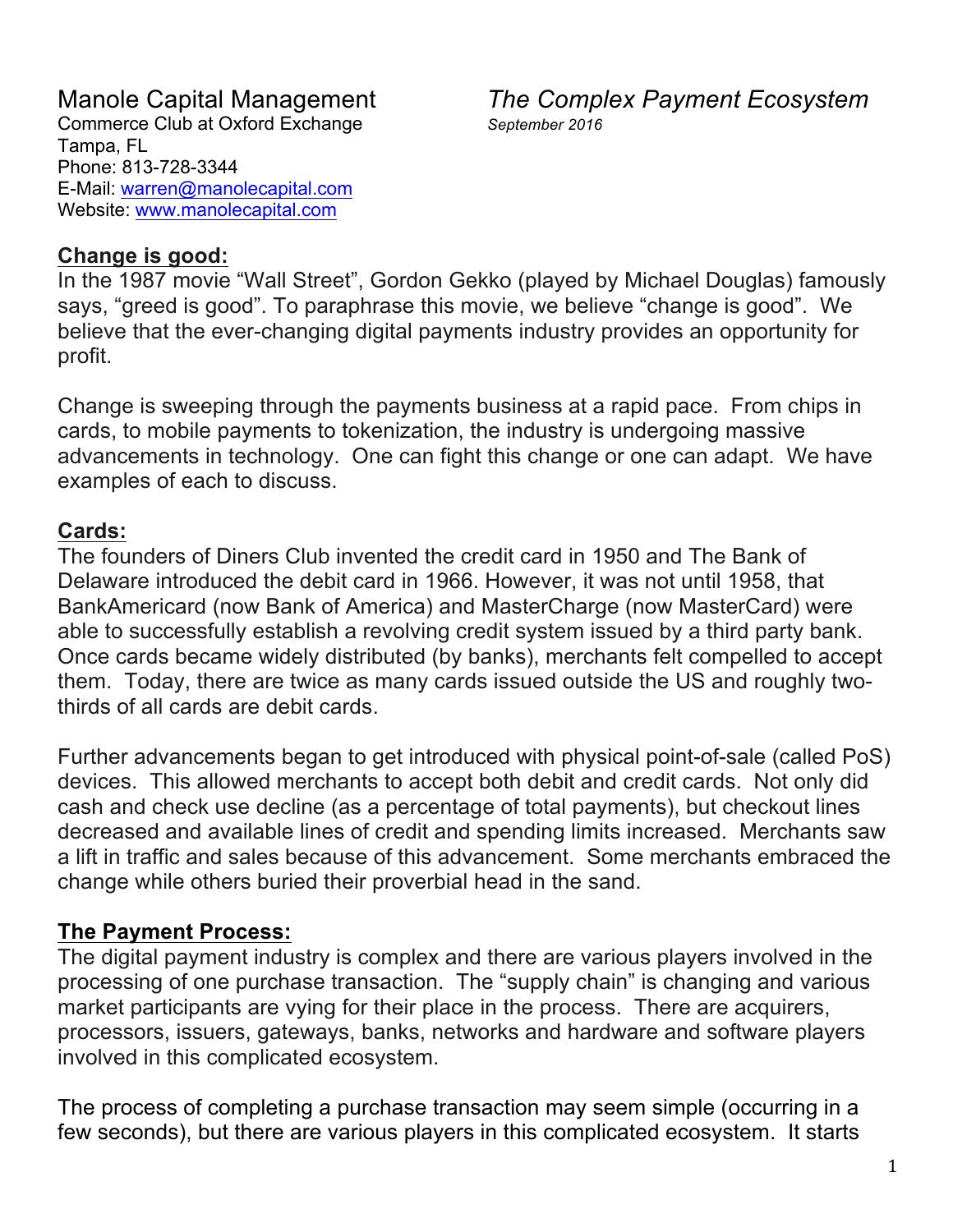## Manole Capital Management *The Complex Payment Ecosystem*

### **Change is good:**

In the 1987 movie "Wall Street", Gordon Gekko (played by Michael Douglas) famously says, "greed is good". To paraphrase this movie, we believe "change is good". We believe that the ever-changing digital payments industry provides an opportunity for profit.

Change is sweeping through the payments business at a rapid pace. From chips in cards, to mobile payments to tokenization, the industry is undergoing massive advancements in technology. One can fight this change or one can adapt. We have examples of each to discuss.

### **Cards:**

The founders of Diners Club invented the credit card in 1950 and The Bank of Delaware introduced the debit card in 1966. However, it was not until 1958, that BankAmericard (now Bank of America) and MasterCharge (now MasterCard) were able to successfully establish a revolving credit system issued by a third party bank. Once cards became widely distributed (by banks), merchants felt compelled to accept them. Today, there are twice as many cards issued outside the US and roughly twothirds of all cards are debit cards.

Further advancements began to get introduced with physical point-of-sale (called PoS) devices. This allowed merchants to accept both debit and credit cards. Not only did cash and check use decline (as a percentage of total payments), but checkout lines decreased and available lines of credit and spending limits increased. Merchants saw a lift in traffic and sales because of this advancement. Some merchants embraced the change while others buried their proverbial head in the sand.

### **The Payment Process:**

The digital payment industry is complex and there are various players involved in the processing of one purchase transaction. The "supply chain" is changing and various market participants are vying for their place in the process. There are acquirers, processors, issuers, gateways, banks, networks and hardware and software players involved in this complicated ecosystem.

The process of completing a purchase transaction may seem simple (occurring in a few seconds), but there are various players in this complicated ecosystem. It starts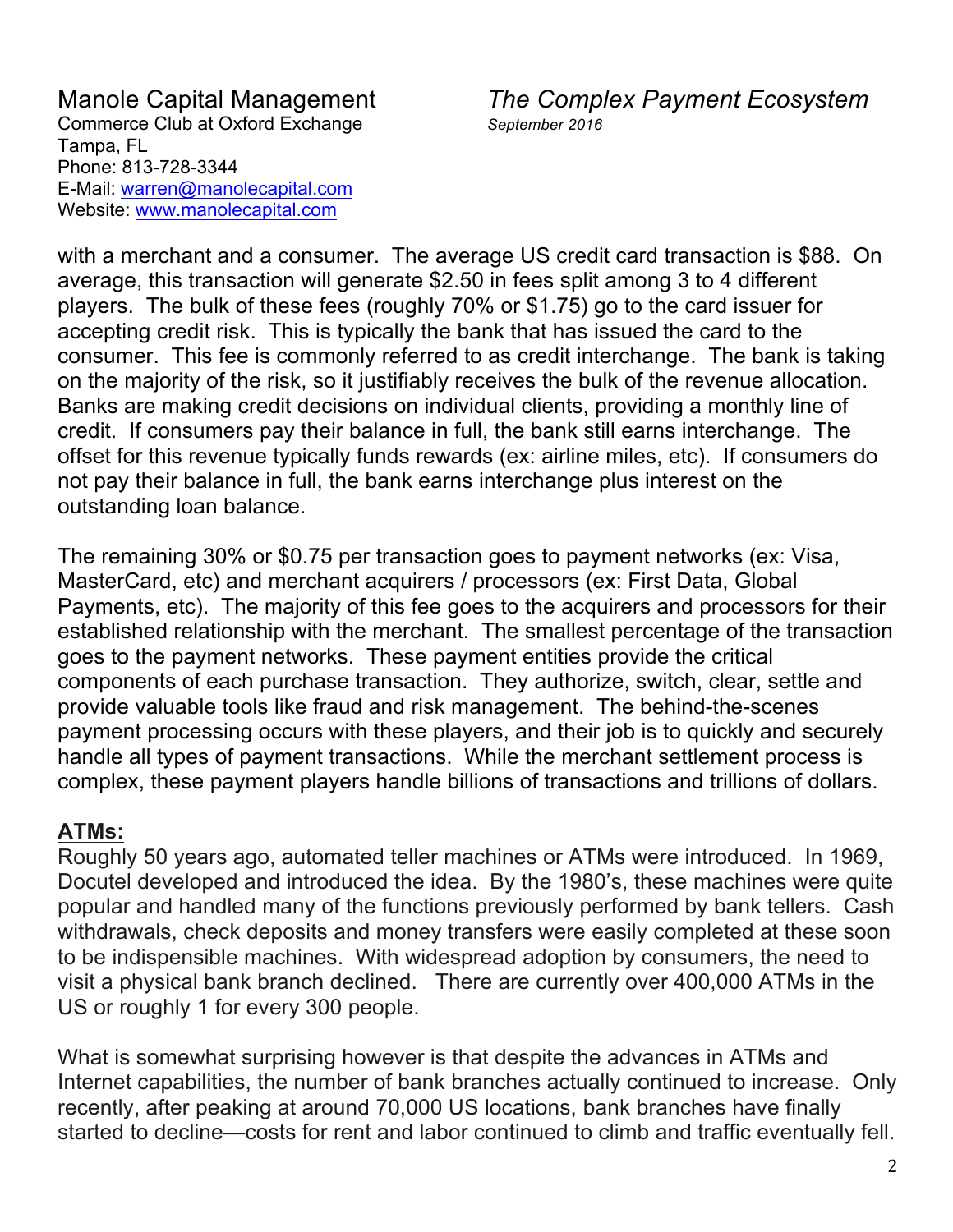Manole Capital Management *The Complex Payment Ecosystem*

with a merchant and a consumer. The average US credit card transaction is \$88. On average, this transaction will generate \$2.50 in fees split among 3 to 4 different players. The bulk of these fees (roughly 70% or \$1.75) go to the card issuer for accepting credit risk. This is typically the bank that has issued the card to the consumer. This fee is commonly referred to as credit interchange. The bank is taking on the majority of the risk, so it justifiably receives the bulk of the revenue allocation. Banks are making credit decisions on individual clients, providing a monthly line of credit. If consumers pay their balance in full, the bank still earns interchange. The offset for this revenue typically funds rewards (ex: airline miles, etc). If consumers do not pay their balance in full, the bank earns interchange plus interest on the outstanding loan balance.

The remaining 30% or \$0.75 per transaction goes to payment networks (ex: Visa, MasterCard, etc) and merchant acquirers / processors (ex: First Data, Global Payments, etc). The majority of this fee goes to the acquirers and processors for their established relationship with the merchant. The smallest percentage of the transaction goes to the payment networks. These payment entities provide the critical components of each purchase transaction. They authorize, switch, clear, settle and provide valuable tools like fraud and risk management. The behind-the-scenes payment processing occurs with these players, and their job is to quickly and securely handle all types of payment transactions. While the merchant settlement process is complex, these payment players handle billions of transactions and trillions of dollars.

### **ATMs:**

Roughly 50 years ago, automated teller machines or ATMs were introduced. In 1969, Docutel developed and introduced the idea. By the 1980's, these machines were quite popular and handled many of the functions previously performed by bank tellers. Cash withdrawals, check deposits and money transfers were easily completed at these soon to be indispensible machines. With widespread adoption by consumers, the need to visit a physical bank branch declined. There are currently over 400,000 ATMs in the US or roughly 1 for every 300 people.

What is somewhat surprising however is that despite the advances in ATMs and Internet capabilities, the number of bank branches actually continued to increase. Only recently, after peaking at around 70,000 US locations, bank branches have finally started to decline—costs for rent and labor continued to climb and traffic eventually fell.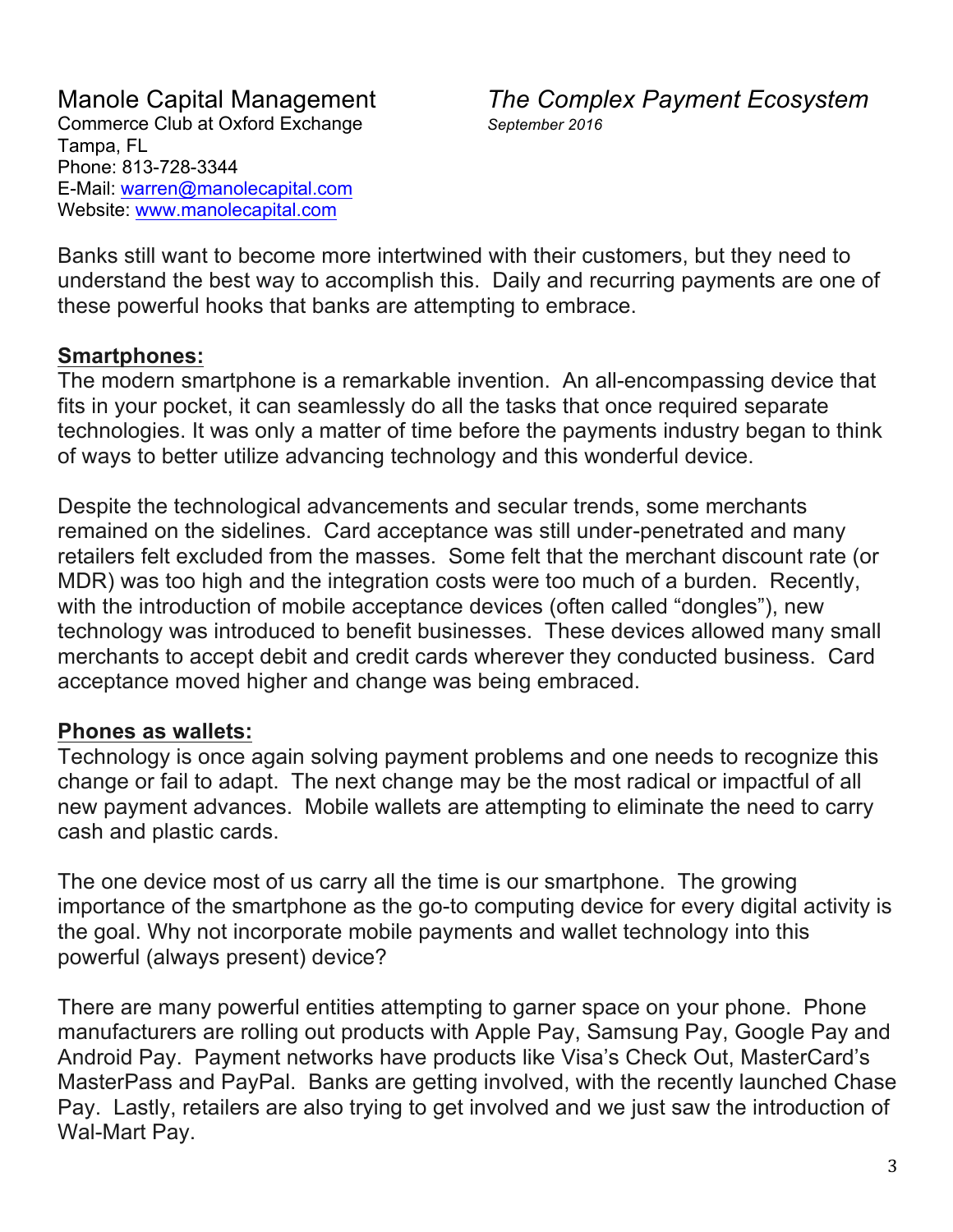Manole Capital Management *The Complex Payment Ecosystem*

Banks still want to become more intertwined with their customers, but they need to understand the best way to accomplish this. Daily and recurring payments are one of these powerful hooks that banks are attempting to embrace.

### **Smartphones:**

The modern smartphone is a remarkable invention. An all-encompassing device that fits in your pocket, it can seamlessly do all the tasks that once required separate technologies. It was only a matter of time before the payments industry began to think of ways to better utilize advancing technology and this wonderful device.

Despite the technological advancements and secular trends, some merchants remained on the sidelines. Card acceptance was still under-penetrated and many retailers felt excluded from the masses. Some felt that the merchant discount rate (or MDR) was too high and the integration costs were too much of a burden. Recently, with the introduction of mobile acceptance devices (often called "dongles"), new technology was introduced to benefit businesses. These devices allowed many small merchants to accept debit and credit cards wherever they conducted business. Card acceptance moved higher and change was being embraced.

### **Phones as wallets:**

Technology is once again solving payment problems and one needs to recognize this change or fail to adapt. The next change may be the most radical or impactful of all new payment advances. Mobile wallets are attempting to eliminate the need to carry cash and plastic cards.

The one device most of us carry all the time is our smartphone. The growing importance of the smartphone as the go-to computing device for every digital activity is the goal. Why not incorporate mobile payments and wallet technology into this powerful (always present) device?

There are many powerful entities attempting to garner space on your phone. Phone manufacturers are rolling out products with Apple Pay, Samsung Pay, Google Pay and Android Pay. Payment networks have products like Visa's Check Out, MasterCard's MasterPass and PayPal. Banks are getting involved, with the recently launched Chase Pay. Lastly, retailers are also trying to get involved and we just saw the introduction of Wal-Mart Pay.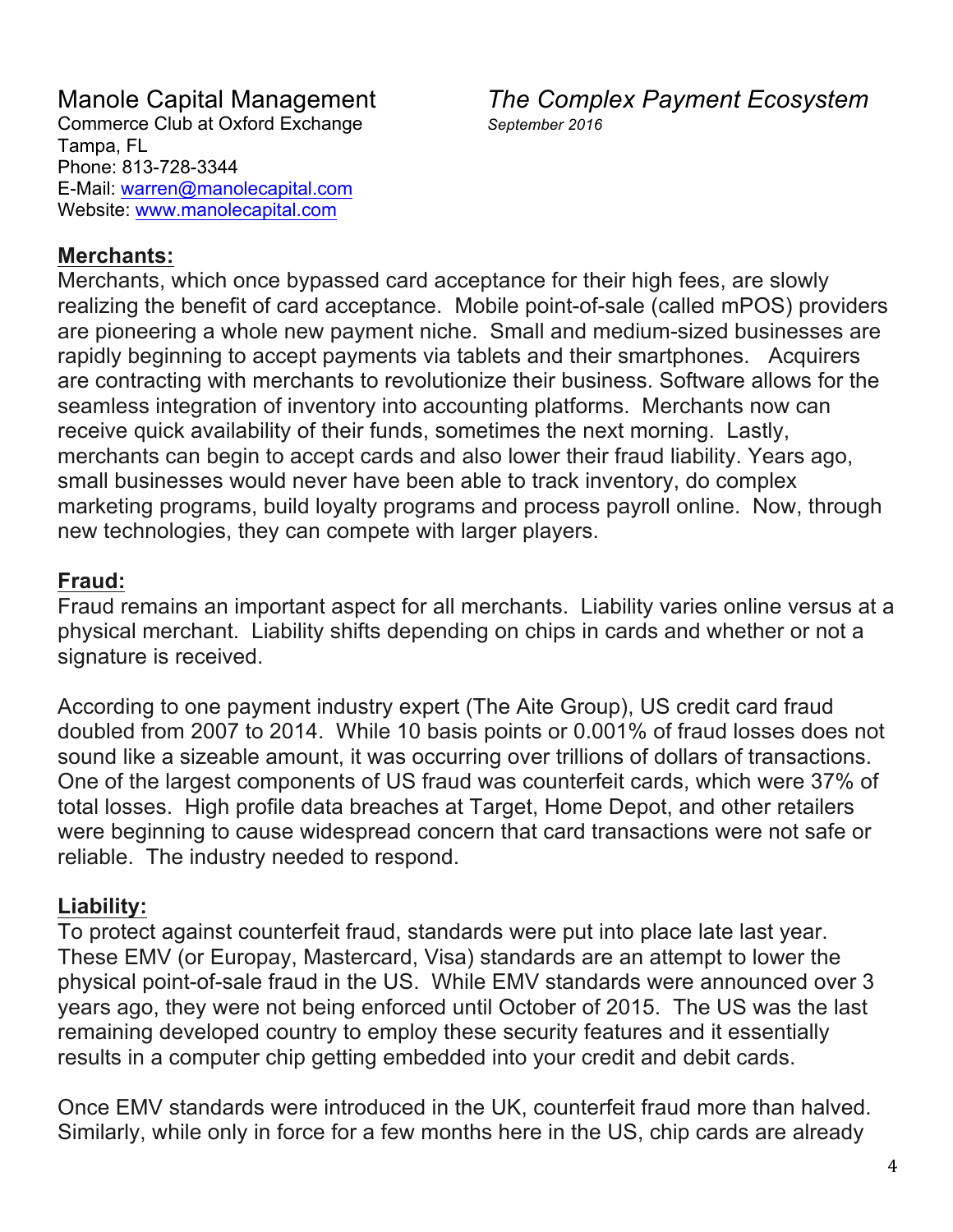### **Merchants:**

Merchants, which once bypassed card acceptance for their high fees, are slowly realizing the benefit of card acceptance. Mobile point-of-sale (called mPOS) providers are pioneering a whole new payment niche. Small and medium-sized businesses are rapidly beginning to accept payments via tablets and their smartphones. Acquirers are contracting with merchants to revolutionize their business. Software allows for the seamless integration of inventory into accounting platforms. Merchants now can receive quick availability of their funds, sometimes the next morning. Lastly, merchants can begin to accept cards and also lower their fraud liability. Years ago, small businesses would never have been able to track inventory, do complex marketing programs, build loyalty programs and process payroll online. Now, through new technologies, they can compete with larger players.

### **Fraud:**

Fraud remains an important aspect for all merchants. Liability varies online versus at a physical merchant. Liability shifts depending on chips in cards and whether or not a signature is received.

According to one payment industry expert (The Aite Group), US credit card fraud doubled from 2007 to 2014. While 10 basis points or 0.001% of fraud losses does not sound like a sizeable amount, it was occurring over trillions of dollars of transactions. One of the largest components of US fraud was counterfeit cards, which were 37% of total losses. High profile data breaches at Target, Home Depot, and other retailers were beginning to cause widespread concern that card transactions were not safe or reliable. The industry needed to respond.

### **Liability:**

To protect against counterfeit fraud, standards were put into place late last year. These EMV (or Europay, Mastercard, Visa) standards are an attempt to lower the physical point-of-sale fraud in the US. While EMV standards were announced over 3 years ago, they were not being enforced until October of 2015. The US was the last remaining developed country to employ these security features and it essentially results in a computer chip getting embedded into your credit and debit cards.

Once EMV standards were introduced in the UK, counterfeit fraud more than halved. Similarly, while only in force for a few months here in the US, chip cards are already

Manole Capital Management *The Complex Payment Ecosystem*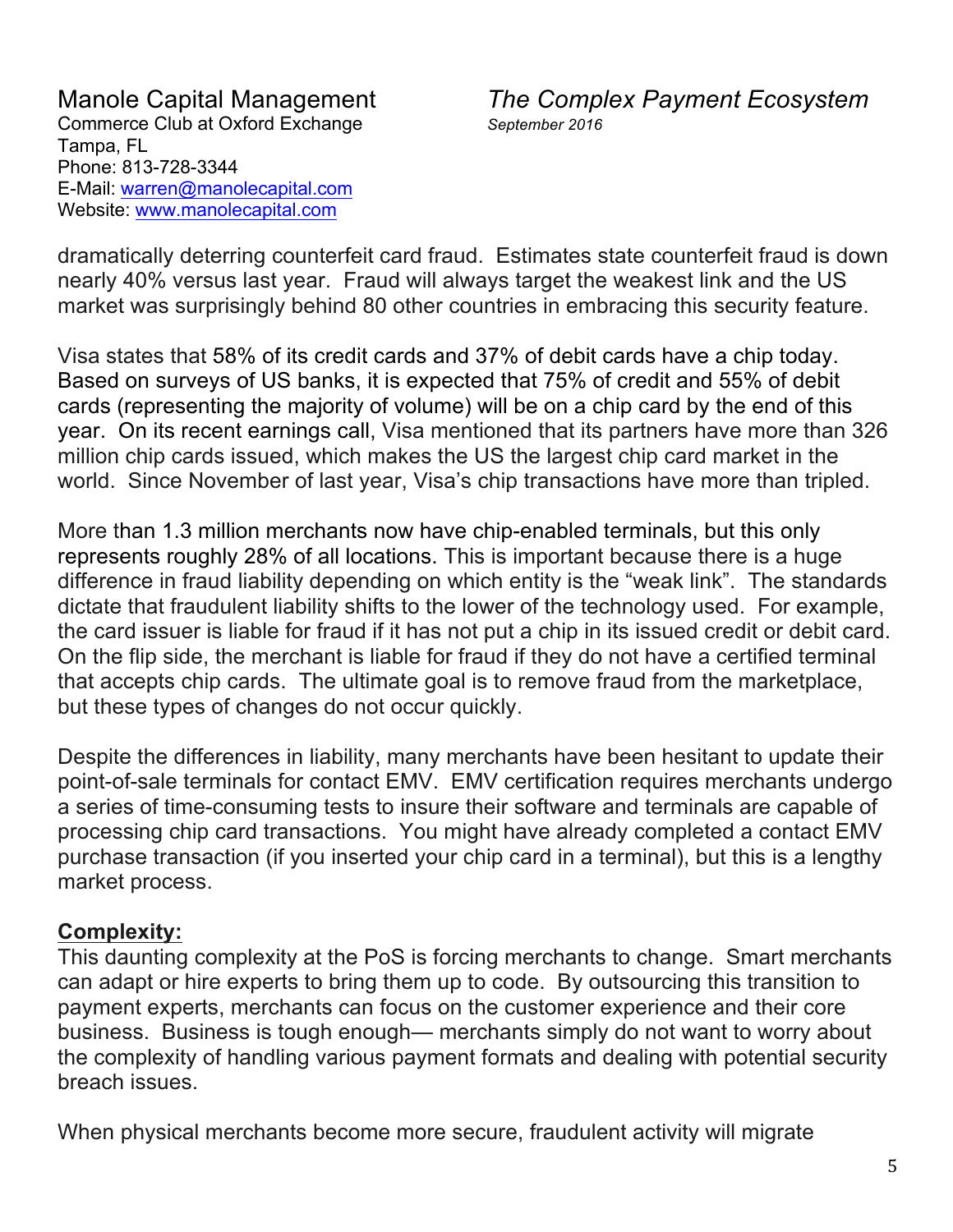Manole Capital Management *The Complex Payment Ecosystem*

dramatically deterring counterfeit card fraud. Estimates state counterfeit fraud is down nearly 40% versus last year. Fraud will always target the weakest link and the US market was surprisingly behind 80 other countries in embracing this security feature.

Visa states that 58% of its credit cards and 37% of debit cards have a chip today. Based on surveys of US banks, it is expected that 75% of credit and 55% of debit cards (representing the majority of volume) will be on a chip card by the end of this year. On its recent earnings call, Visa mentioned that its partners have more than 326 million chip cards issued, which makes the US the largest chip card market in the world. Since November of last year, Visa's chip transactions have more than tripled.

More than 1.3 million merchants now have chip-enabled terminals, but this only represents roughly 28% of all locations. This is important because there is a huge difference in fraud liability depending on which entity is the "weak link". The standards dictate that fraudulent liability shifts to the lower of the technology used. For example, the card issuer is liable for fraud if it has not put a chip in its issued credit or debit card. On the flip side, the merchant is liable for fraud if they do not have a certified terminal that accepts chip cards. The ultimate goal is to remove fraud from the marketplace, but these types of changes do not occur quickly.

Despite the differences in liability, many merchants have been hesitant to update their point-of-sale terminals for contact EMV. EMV certification requires merchants undergo a series of time-consuming tests to insure their software and terminals are capable of processing chip card transactions. You might have already completed a contact EMV purchase transaction (if you inserted your chip card in a terminal), but this is a lengthy market process.

### **Complexity:**

This daunting complexity at the PoS is forcing merchants to change. Smart merchants can adapt or hire experts to bring them up to code. By outsourcing this transition to payment experts, merchants can focus on the customer experience and their core business. Business is tough enough— merchants simply do not want to worry about the complexity of handling various payment formats and dealing with potential security breach issues.

When physical merchants become more secure, fraudulent activity will migrate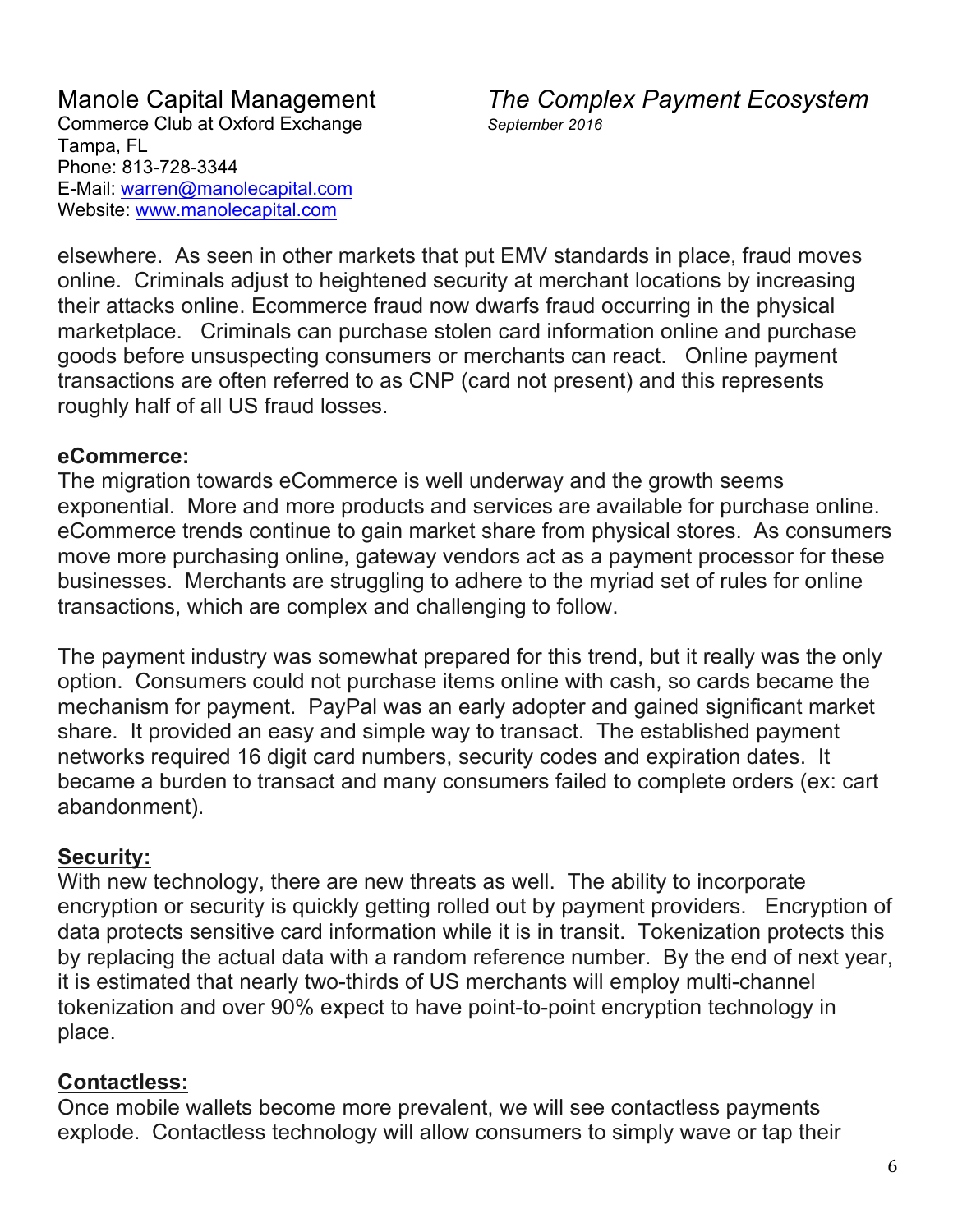Manole Capital Management *The Complex Payment Ecosystem*

elsewhere. As seen in other markets that put EMV standards in place, fraud moves online. Criminals adjust to heightened security at merchant locations by increasing their attacks online. Ecommerce fraud now dwarfs fraud occurring in the physical marketplace. Criminals can purchase stolen card information online and purchase goods before unsuspecting consumers or merchants can react. Online payment transactions are often referred to as CNP (card not present) and this represents roughly half of all US fraud losses.

### **eCommerce:**

The migration towards eCommerce is well underway and the growth seems exponential. More and more products and services are available for purchase online. eCommerce trends continue to gain market share from physical stores. As consumers move more purchasing online, gateway vendors act as a payment processor for these businesses. Merchants are struggling to adhere to the myriad set of rules for online transactions, which are complex and challenging to follow.

The payment industry was somewhat prepared for this trend, but it really was the only option. Consumers could not purchase items online with cash, so cards became the mechanism for payment. PayPal was an early adopter and gained significant market share. It provided an easy and simple way to transact. The established payment networks required 16 digit card numbers, security codes and expiration dates. It became a burden to transact and many consumers failed to complete orders (ex: cart abandonment).

### **Security:**

With new technology, there are new threats as well. The ability to incorporate encryption or security is quickly getting rolled out by payment providers. Encryption of data protects sensitive card information while it is in transit. Tokenization protects this by replacing the actual data with a random reference number. By the end of next year, it is estimated that nearly two-thirds of US merchants will employ multi-channel tokenization and over 90% expect to have point-to-point encryption technology in place.

### **Contactless:**

Once mobile wallets become more prevalent, we will see contactless payments explode. Contactless technology will allow consumers to simply wave or tap their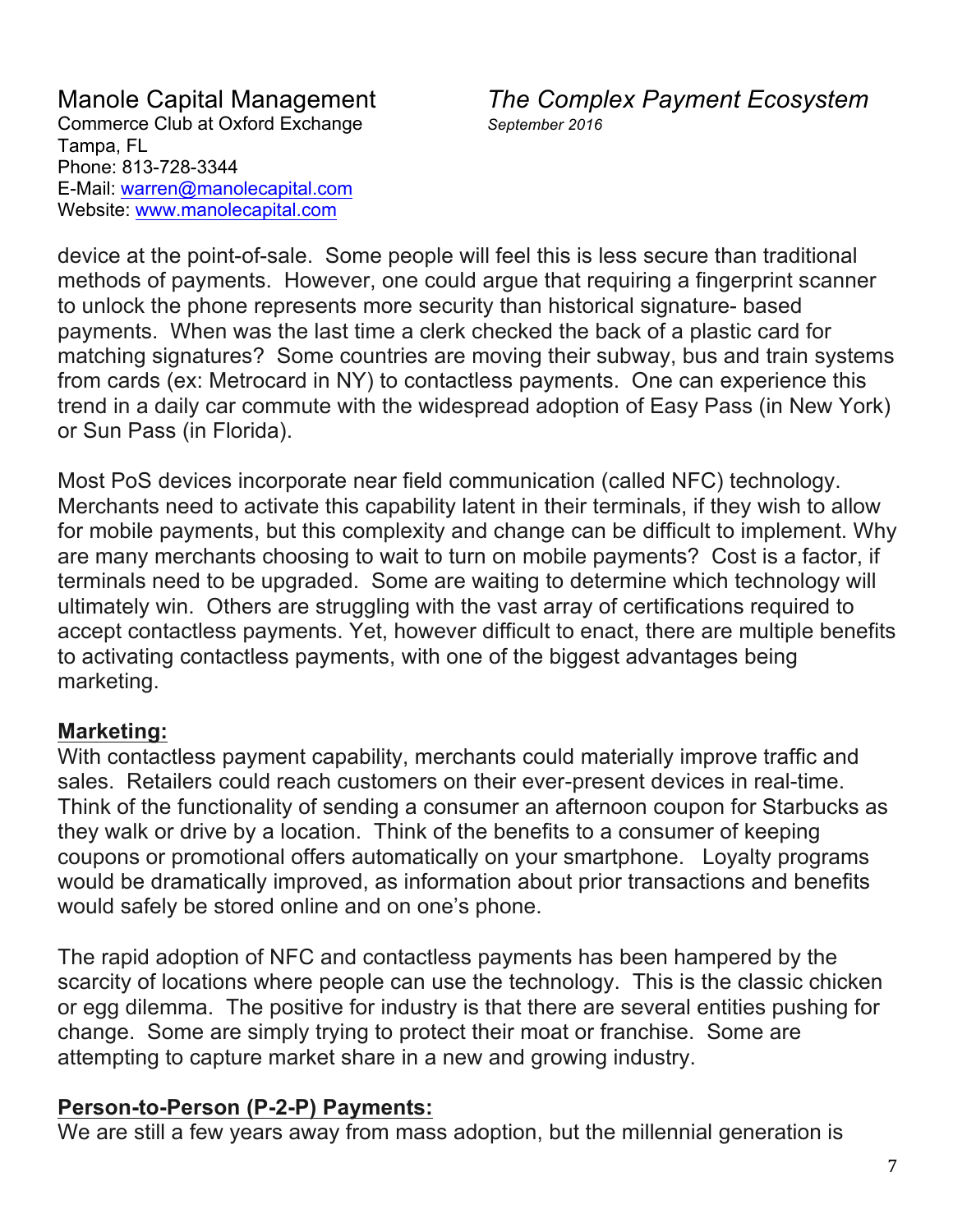Manole Capital Management *The Complex Payment Ecosystem*

device at the point-of-sale. Some people will feel this is less secure than traditional methods of payments. However, one could argue that requiring a fingerprint scanner to unlock the phone represents more security than historical signature- based payments. When was the last time a clerk checked the back of a plastic card for matching signatures? Some countries are moving their subway, bus and train systems from cards (ex: Metrocard in NY) to contactless payments. One can experience this trend in a daily car commute with the widespread adoption of Easy Pass (in New York) or Sun Pass (in Florida).

Most PoS devices incorporate near field communication (called NFC) technology. Merchants need to activate this capability latent in their terminals, if they wish to allow for mobile payments, but this complexity and change can be difficult to implement. Why are many merchants choosing to wait to turn on mobile payments? Cost is a factor, if terminals need to be upgraded. Some are waiting to determine which technology will ultimately win. Others are struggling with the vast array of certifications required to accept contactless payments. Yet, however difficult to enact, there are multiple benefits to activating contactless payments, with one of the biggest advantages being marketing.

### **Marketing:**

With contactless payment capability, merchants could materially improve traffic and sales. Retailers could reach customers on their ever-present devices in real-time. Think of the functionality of sending a consumer an afternoon coupon for Starbucks as they walk or drive by a location. Think of the benefits to a consumer of keeping coupons or promotional offers automatically on your smartphone. Loyalty programs would be dramatically improved, as information about prior transactions and benefits would safely be stored online and on one's phone.

The rapid adoption of NFC and contactless payments has been hampered by the scarcity of locations where people can use the technology. This is the classic chicken or egg dilemma. The positive for industry is that there are several entities pushing for change. Some are simply trying to protect their moat or franchise. Some are attempting to capture market share in a new and growing industry.

### **Person-to-Person (P-2-P) Payments:**

We are still a few years away from mass adoption, but the millennial generation is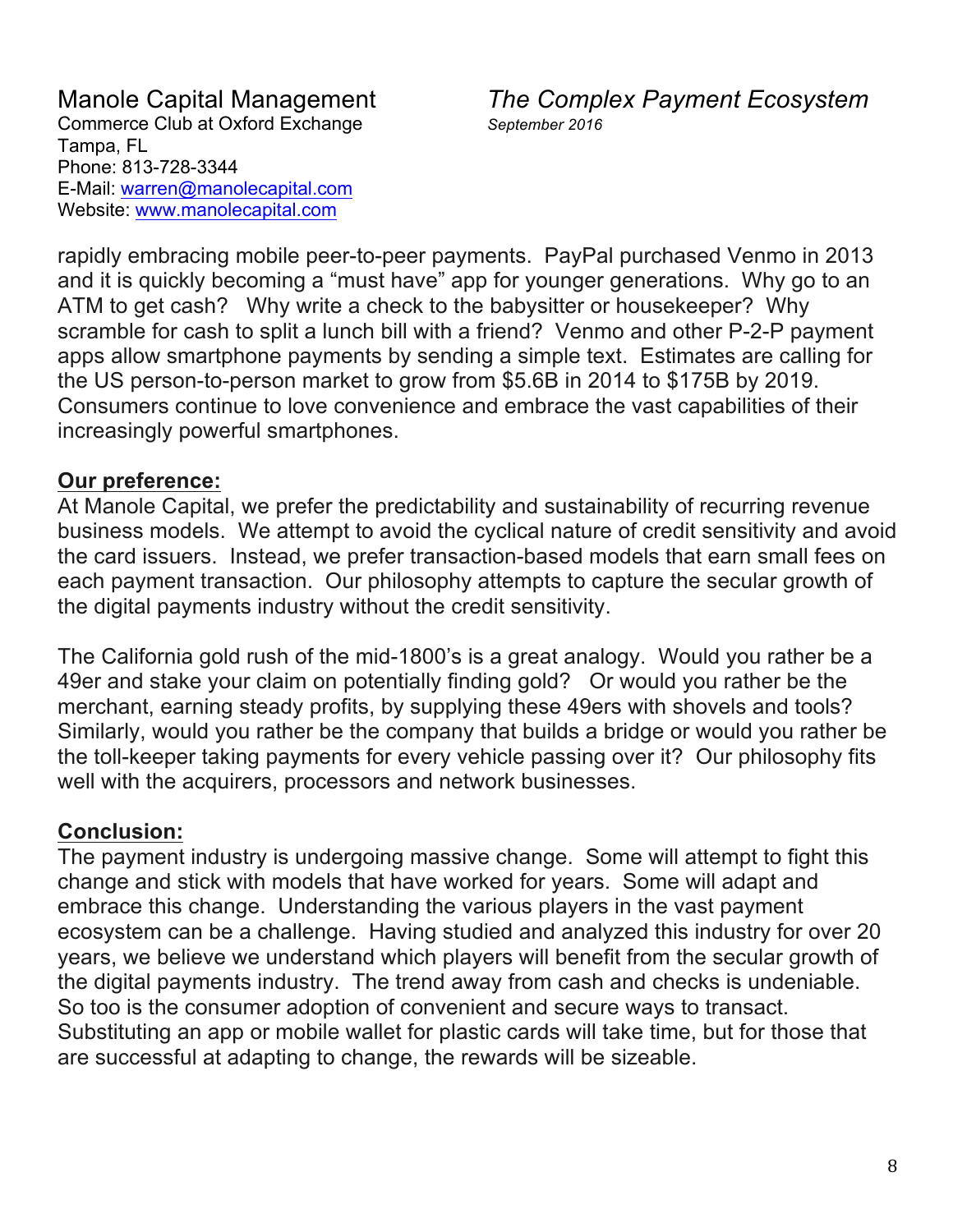Manole Capital Management *The Complex Payment Ecosystem*

rapidly embracing mobile peer-to-peer payments. PayPal purchased Venmo in 2013 and it is quickly becoming a "must have" app for younger generations. Why go to an ATM to get cash? Why write a check to the babysitter or housekeeper? Why scramble for cash to split a lunch bill with a friend? Venmo and other P-2-P payment apps allow smartphone payments by sending a simple text. Estimates are calling for the US person-to-person market to grow from \$5.6B in 2014 to \$175B by 2019. Consumers continue to love convenience and embrace the vast capabilities of their increasingly powerful smartphones.

### **Our preference:**

At Manole Capital, we prefer the predictability and sustainability of recurring revenue business models. We attempt to avoid the cyclical nature of credit sensitivity and avoid the card issuers. Instead, we prefer transaction-based models that earn small fees on each payment transaction. Our philosophy attempts to capture the secular growth of the digital payments industry without the credit sensitivity.

The California gold rush of the mid-1800's is a great analogy. Would you rather be a 49er and stake your claim on potentially finding gold? Or would you rather be the merchant, earning steady profits, by supplying these 49ers with shovels and tools? Similarly, would you rather be the company that builds a bridge or would you rather be the toll-keeper taking payments for every vehicle passing over it? Our philosophy fits well with the acquirers, processors and network businesses.

### **Conclusion:**

The payment industry is undergoing massive change. Some will attempt to fight this change and stick with models that have worked for years. Some will adapt and embrace this change. Understanding the various players in the vast payment ecosystem can be a challenge. Having studied and analyzed this industry for over 20 years, we believe we understand which players will benefit from the secular growth of the digital payments industry. The trend away from cash and checks is undeniable. So too is the consumer adoption of convenient and secure ways to transact. Substituting an app or mobile wallet for plastic cards will take time, but for those that are successful at adapting to change, the rewards will be sizeable.